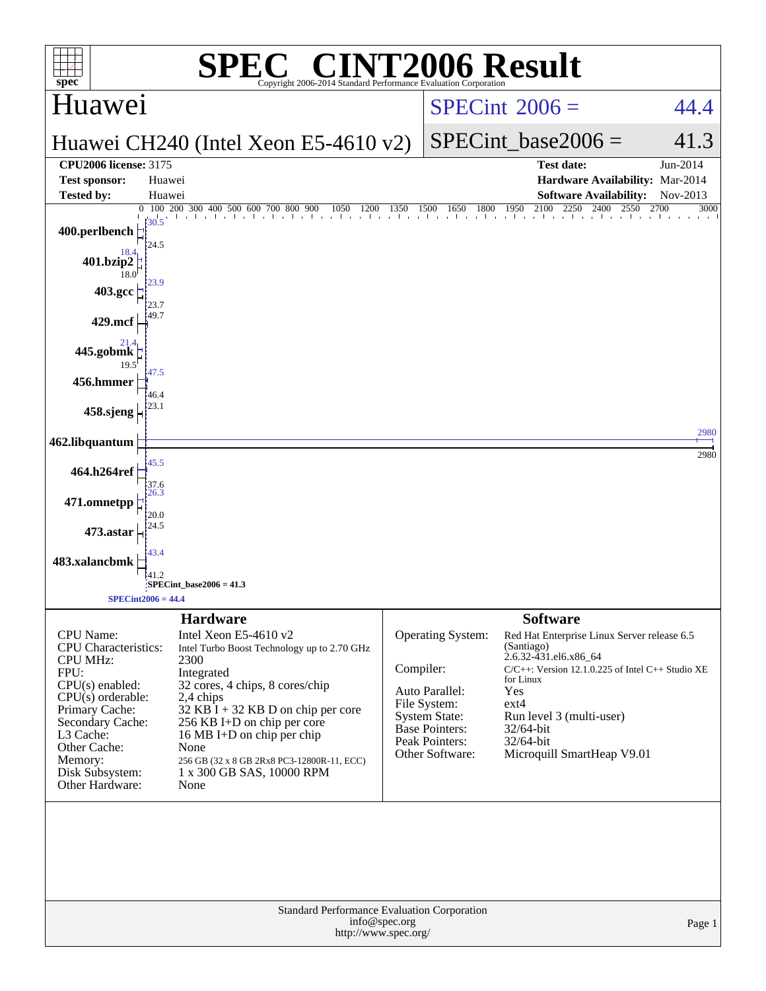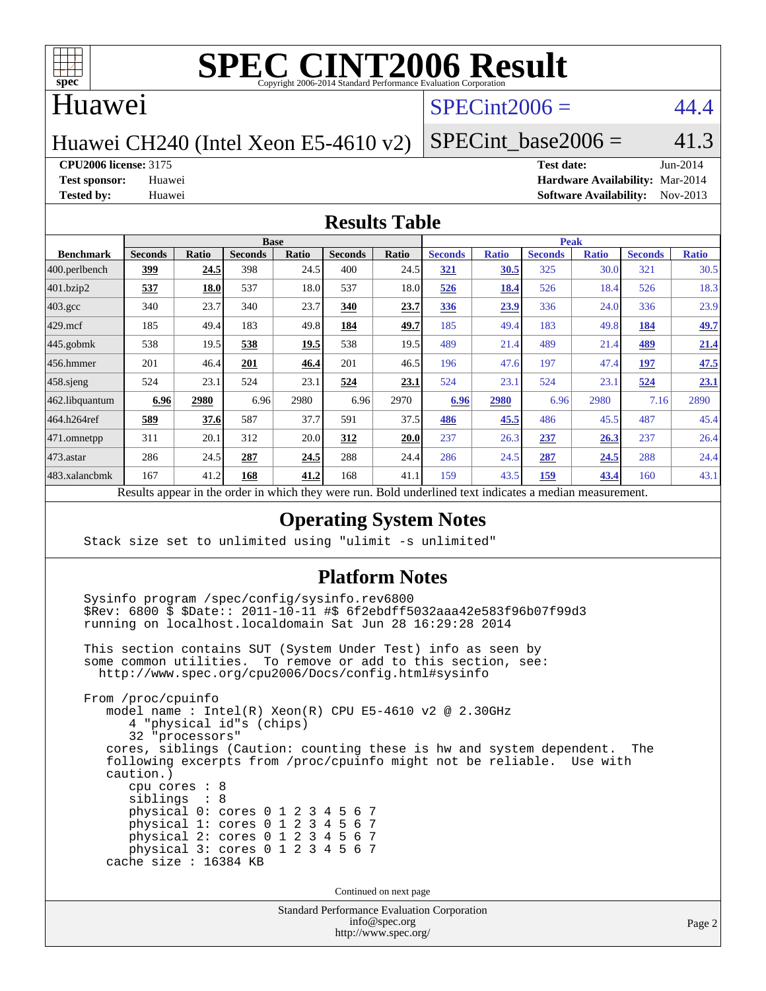

#### Huawei

#### $SPECint2006 = 44.4$  $SPECint2006 = 44.4$

Huawei CH240 (Intel Xeon E5-4610 v2)

SPECint base2006 =  $41.3$ 

**[CPU2006 license:](http://www.spec.org/auto/cpu2006/Docs/result-fields.html#CPU2006license)** 3175 **[Test date:](http://www.spec.org/auto/cpu2006/Docs/result-fields.html#Testdate)** Jun-2014

**[Test sponsor:](http://www.spec.org/auto/cpu2006/Docs/result-fields.html#Testsponsor)** Huawei **[Hardware Availability:](http://www.spec.org/auto/cpu2006/Docs/result-fields.html#HardwareAvailability)** Mar-2014 **[Tested by:](http://www.spec.org/auto/cpu2006/Docs/result-fields.html#Testedby)** Huawei **[Software Availability:](http://www.spec.org/auto/cpu2006/Docs/result-fields.html#SoftwareAvailability)** Nov-2013

#### **[Results Table](http://www.spec.org/auto/cpu2006/Docs/result-fields.html#ResultsTable)**

|                                                                                                                                                                 | <b>Base</b>    |       |                |              |                |              | <b>Peak</b>    |              |                |              |                |              |
|-----------------------------------------------------------------------------------------------------------------------------------------------------------------|----------------|-------|----------------|--------------|----------------|--------------|----------------|--------------|----------------|--------------|----------------|--------------|
| <b>Benchmark</b>                                                                                                                                                | <b>Seconds</b> | Ratio | <b>Seconds</b> | <b>Ratio</b> | <b>Seconds</b> | <b>Ratio</b> | <b>Seconds</b> | <b>Ratio</b> | <b>Seconds</b> | <b>Ratio</b> | <b>Seconds</b> | <b>Ratio</b> |
| $ 400$ .perlbench                                                                                                                                               | 399            | 24.5  | 398            | 24.5         | 400            | 24.5         | <u>321</u>     | 30.5         | 325            | 30.0         | 321            | 30.5         |
| 401.bzip2                                                                                                                                                       | 537            | 18.0  | 537            | 18.0         | 537            | 18.0         | 526            | 18.4         | 526            | 18.4         | 526            | 18.3         |
| $403.\mathrm{gcc}$                                                                                                                                              | 340            | 23.7  | 340            | 23.7         | 340            | 23.7         | 336            | 23.9         | 336            | 24.0         | 336            | 23.9         |
| $429$ .mcf                                                                                                                                                      | 185            | 49.4  | 183            | 49.8         | 184            | 49.7         | 185            | 49.4         | 183            | 49.8         | 184            | 49.7         |
| $445$ .gobmk                                                                                                                                                    | 538            | 19.5  | 538            | 19.5         | 538            | 19.5         | 489            | 21.4         | 489            | 21.4         | 489            | 21.4         |
| $456.$ hmmer                                                                                                                                                    | 201            | 46.4  | 201            | 46.4         | 201            | 46.5         | 196            | 47.6         | 197            | 47.4         | 197            | 47.5         |
| $458$ .sjeng                                                                                                                                                    | 524            | 23.1  | 524            | 23.1         | 524            | 23.1         | 524            | 23.1         | 524            | 23.1         | 524            | 23.1         |
| 462.libquantum                                                                                                                                                  | 6.96           | 2980  | 6.96           | 2980         | 6.96           | 2970         | 6.96           | 2980         | 6.96           | 2980         | 7.16           | 2890         |
| 464.h264ref                                                                                                                                                     | 589            | 37.6  | 587            | 37.7         | 591            | 37.5         | 486            | 45.5         | 486            | 45.5         | 487            | 45.4         |
| 471.omnetpp                                                                                                                                                     | 311            | 20.1  | 312            | 20.0         | 312            | 20.0         | 237            | 26.3         | 237            | 26.3         | 237            | 26.4         |
| $473.$ astar                                                                                                                                                    | 286            | 24.5  | 287            | 24.5         | 288            | 24.4         | 286            | 24.5         | 287            | 24.5         | 288            | 24.4         |
| 483.xalancbmk                                                                                                                                                   | 167            | 41.2  | 168            | 41.2         | 168            | 41.1         | 159            | 43.5         | 159            | 43.4         | 160            | 43.1         |
| $\mathbf{D}$ and $\mathbf{L}$ and $\mathbf{L}$<br>وبريس ومرورين وبرواله والرائدانين وبالمروان والمراوية والارتبال<br>Deld and called to an indicate on a madian |                |       |                |              |                |              |                |              |                |              |                |              |

Results appear in the [order in which they were run.](http://www.spec.org/auto/cpu2006/Docs/result-fields.html#RunOrder) Bold underlined text [indicates a median measurement.](http://www.spec.org/auto/cpu2006/Docs/result-fields.html#Median)

#### **[Operating System Notes](http://www.spec.org/auto/cpu2006/Docs/result-fields.html#OperatingSystemNotes)**

Stack size set to unlimited using "ulimit -s unlimited"

#### **[Platform Notes](http://www.spec.org/auto/cpu2006/Docs/result-fields.html#PlatformNotes)**

 Sysinfo program /spec/config/sysinfo.rev6800 \$Rev: 6800 \$ \$Date:: 2011-10-11 #\$ 6f2ebdff5032aaa42e583f96b07f99d3 running on localhost.localdomain Sat Jun 28 16:29:28 2014

 This section contains SUT (System Under Test) info as seen by some common utilities. To remove or add to this section, see: <http://www.spec.org/cpu2006/Docs/config.html#sysinfo>

 From /proc/cpuinfo model name : Intel(R) Xeon(R) CPU E5-4610 v2 @ 2.30GHz 4 "physical id"s (chips) 32 "processors" cores, siblings (Caution: counting these is hw and system dependent. The following excerpts from /proc/cpuinfo might not be reliable. Use with caution.) cpu cores : 8 siblings : 8 physical 0: cores 0 1 2 3 4 5 6 7 physical 1: cores 0 1 2 3 4 5 6 7 physical 2: cores 0 1 2 3 4 5 6 7 physical 3: cores 0 1 2 3 4 5 6 7 cache size : 16384 KB

Continued on next page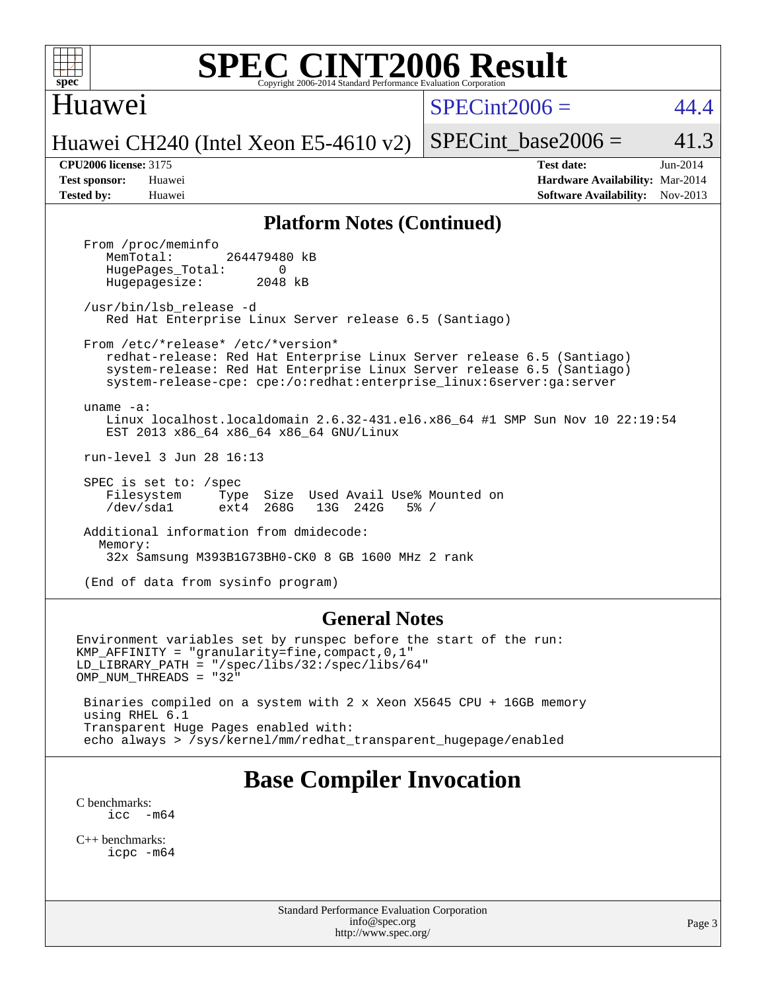### Huawei

 $SPECint2006 = 44.4$  $SPECint2006 = 44.4$ 

Huawei CH240 (Intel Xeon E5-4610 v2)

SPECint base2006 =  $41.3$ 

**[CPU2006 license:](http://www.spec.org/auto/cpu2006/Docs/result-fields.html#CPU2006license)** 3175 **[Test date:](http://www.spec.org/auto/cpu2006/Docs/result-fields.html#Testdate)** Jun-2014 **[Test sponsor:](http://www.spec.org/auto/cpu2006/Docs/result-fields.html#Testsponsor)** Huawei **[Hardware Availability:](http://www.spec.org/auto/cpu2006/Docs/result-fields.html#HardwareAvailability)** Mar-2014 **[Tested by:](http://www.spec.org/auto/cpu2006/Docs/result-fields.html#Testedby)** Huawei **[Software Availability:](http://www.spec.org/auto/cpu2006/Docs/result-fields.html#SoftwareAvailability)** Nov-2013

#### **[Platform Notes \(Continued\)](http://www.spec.org/auto/cpu2006/Docs/result-fields.html#PlatformNotes)**

From /proc/meminfo<br>MemTotal: 264479480 kB HugePages\_Total: 0<br>Hugepagesize: 2048 kB Hugepagesize:

 /usr/bin/lsb\_release -d Red Hat Enterprise Linux Server release 6.5 (Santiago)

From /etc/\*release\* /etc/\*version\*

 redhat-release: Red Hat Enterprise Linux Server release 6.5 (Santiago) system-release: Red Hat Enterprise Linux Server release 6.5 (Santiago) system-release-cpe: cpe:/o:redhat:enterprise\_linux:6server:ga:server

 uname -a: Linux localhost.localdomain 2.6.32-431.el6.x86\_64 #1 SMP Sun Nov 10 22:19:54 EST 2013 x86\_64 x86\_64 x86\_64 GNU/Linux

run-level 3 Jun 28 16:13

 SPEC is set to: /spec Filesystem Type Size Used Avail Use% Mounted on /dev/sda1 ext4 268G 13G 242G 5% /

 Additional information from dmidecode: Memory: 32x Samsung M393B1G73BH0-CK0 8 GB 1600 MHz 2 rank

(End of data from sysinfo program)

#### **[General Notes](http://www.spec.org/auto/cpu2006/Docs/result-fields.html#GeneralNotes)**

Environment variables set by runspec before the start of the run: KMP\_AFFINITY = "granularity=fine,compact,0,1" LD\_LIBRARY\_PATH = "/spec/libs/32:/spec/libs/64" OMP\_NUM\_THREADS = "32" Binaries compiled on a system with 2 x Xeon X5645 CPU + 16GB memory using RHEL 6.1 Transparent Huge Pages enabled with:

echo always > /sys/kernel/mm/redhat\_transparent\_hugepage/enabled

# **[Base Compiler Invocation](http://www.spec.org/auto/cpu2006/Docs/result-fields.html#BaseCompilerInvocation)**

[C benchmarks](http://www.spec.org/auto/cpu2006/Docs/result-fields.html#Cbenchmarks): icc  $-m64$ 

[C++ benchmarks:](http://www.spec.org/auto/cpu2006/Docs/result-fields.html#CXXbenchmarks) [icpc -m64](http://www.spec.org/cpu2006/results/res2014q3/cpu2006-20140630-30132.flags.html#user_CXXbase_intel_icpc_64bit_fc66a5337ce925472a5c54ad6a0de310)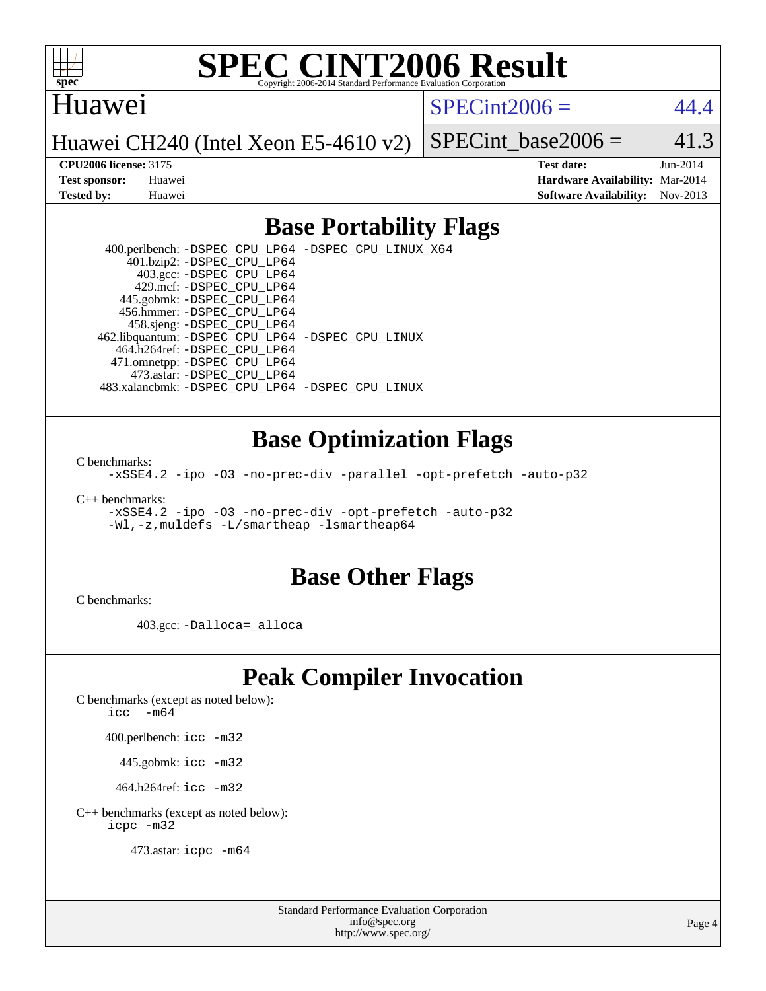

#### Huawei

 $SPECint2006 = 44.4$  $SPECint2006 = 44.4$ 

Huawei CH240 (Intel Xeon E5-4610 v2)

SPECint base2006 =  $41.3$ **[CPU2006 license:](http://www.spec.org/auto/cpu2006/Docs/result-fields.html#CPU2006license)** 3175 **[Test date:](http://www.spec.org/auto/cpu2006/Docs/result-fields.html#Testdate)** Jun-2014

**[Test sponsor:](http://www.spec.org/auto/cpu2006/Docs/result-fields.html#Testsponsor)** Huawei **[Hardware Availability:](http://www.spec.org/auto/cpu2006/Docs/result-fields.html#HardwareAvailability)** Mar-2014 **[Tested by:](http://www.spec.org/auto/cpu2006/Docs/result-fields.html#Testedby)** Huawei **[Software Availability:](http://www.spec.org/auto/cpu2006/Docs/result-fields.html#SoftwareAvailability)** Nov-2013

### **[Base Portability Flags](http://www.spec.org/auto/cpu2006/Docs/result-fields.html#BasePortabilityFlags)**

 400.perlbench: [-DSPEC\\_CPU\\_LP64](http://www.spec.org/cpu2006/results/res2014q3/cpu2006-20140630-30132.flags.html#b400.perlbench_basePORTABILITY_DSPEC_CPU_LP64) [-DSPEC\\_CPU\\_LINUX\\_X64](http://www.spec.org/cpu2006/results/res2014q3/cpu2006-20140630-30132.flags.html#b400.perlbench_baseCPORTABILITY_DSPEC_CPU_LINUX_X64) 401.bzip2: [-DSPEC\\_CPU\\_LP64](http://www.spec.org/cpu2006/results/res2014q3/cpu2006-20140630-30132.flags.html#suite_basePORTABILITY401_bzip2_DSPEC_CPU_LP64) 403.gcc: [-DSPEC\\_CPU\\_LP64](http://www.spec.org/cpu2006/results/res2014q3/cpu2006-20140630-30132.flags.html#suite_basePORTABILITY403_gcc_DSPEC_CPU_LP64) 429.mcf: [-DSPEC\\_CPU\\_LP64](http://www.spec.org/cpu2006/results/res2014q3/cpu2006-20140630-30132.flags.html#suite_basePORTABILITY429_mcf_DSPEC_CPU_LP64) 445.gobmk: [-DSPEC\\_CPU\\_LP64](http://www.spec.org/cpu2006/results/res2014q3/cpu2006-20140630-30132.flags.html#suite_basePORTABILITY445_gobmk_DSPEC_CPU_LP64) 456.hmmer: [-DSPEC\\_CPU\\_LP64](http://www.spec.org/cpu2006/results/res2014q3/cpu2006-20140630-30132.flags.html#suite_basePORTABILITY456_hmmer_DSPEC_CPU_LP64) 458.sjeng: [-DSPEC\\_CPU\\_LP64](http://www.spec.org/cpu2006/results/res2014q3/cpu2006-20140630-30132.flags.html#suite_basePORTABILITY458_sjeng_DSPEC_CPU_LP64) 462.libquantum: [-DSPEC\\_CPU\\_LP64](http://www.spec.org/cpu2006/results/res2014q3/cpu2006-20140630-30132.flags.html#suite_basePORTABILITY462_libquantum_DSPEC_CPU_LP64) [-DSPEC\\_CPU\\_LINUX](http://www.spec.org/cpu2006/results/res2014q3/cpu2006-20140630-30132.flags.html#b462.libquantum_baseCPORTABILITY_DSPEC_CPU_LINUX) 464.h264ref: [-DSPEC\\_CPU\\_LP64](http://www.spec.org/cpu2006/results/res2014q3/cpu2006-20140630-30132.flags.html#suite_basePORTABILITY464_h264ref_DSPEC_CPU_LP64) 471.omnetpp: [-DSPEC\\_CPU\\_LP64](http://www.spec.org/cpu2006/results/res2014q3/cpu2006-20140630-30132.flags.html#suite_basePORTABILITY471_omnetpp_DSPEC_CPU_LP64) 473.astar: [-DSPEC\\_CPU\\_LP64](http://www.spec.org/cpu2006/results/res2014q3/cpu2006-20140630-30132.flags.html#suite_basePORTABILITY473_astar_DSPEC_CPU_LP64) 483.xalancbmk: [-DSPEC\\_CPU\\_LP64](http://www.spec.org/cpu2006/results/res2014q3/cpu2006-20140630-30132.flags.html#suite_basePORTABILITY483_xalancbmk_DSPEC_CPU_LP64) [-DSPEC\\_CPU\\_LINUX](http://www.spec.org/cpu2006/results/res2014q3/cpu2006-20140630-30132.flags.html#b483.xalancbmk_baseCXXPORTABILITY_DSPEC_CPU_LINUX)

#### **[Base Optimization Flags](http://www.spec.org/auto/cpu2006/Docs/result-fields.html#BaseOptimizationFlags)**

[C benchmarks](http://www.spec.org/auto/cpu2006/Docs/result-fields.html#Cbenchmarks):

[-xSSE4.2](http://www.spec.org/cpu2006/results/res2014q3/cpu2006-20140630-30132.flags.html#user_CCbase_f-xSSE42_f91528193cf0b216347adb8b939d4107) [-ipo](http://www.spec.org/cpu2006/results/res2014q3/cpu2006-20140630-30132.flags.html#user_CCbase_f-ipo) [-O3](http://www.spec.org/cpu2006/results/res2014q3/cpu2006-20140630-30132.flags.html#user_CCbase_f-O3) [-no-prec-div](http://www.spec.org/cpu2006/results/res2014q3/cpu2006-20140630-30132.flags.html#user_CCbase_f-no-prec-div) [-parallel](http://www.spec.org/cpu2006/results/res2014q3/cpu2006-20140630-30132.flags.html#user_CCbase_f-parallel) [-opt-prefetch](http://www.spec.org/cpu2006/results/res2014q3/cpu2006-20140630-30132.flags.html#user_CCbase_f-opt-prefetch) [-auto-p32](http://www.spec.org/cpu2006/results/res2014q3/cpu2006-20140630-30132.flags.html#user_CCbase_f-auto-p32)

[C++ benchmarks:](http://www.spec.org/auto/cpu2006/Docs/result-fields.html#CXXbenchmarks)

[-xSSE4.2](http://www.spec.org/cpu2006/results/res2014q3/cpu2006-20140630-30132.flags.html#user_CXXbase_f-xSSE42_f91528193cf0b216347adb8b939d4107) [-ipo](http://www.spec.org/cpu2006/results/res2014q3/cpu2006-20140630-30132.flags.html#user_CXXbase_f-ipo) [-O3](http://www.spec.org/cpu2006/results/res2014q3/cpu2006-20140630-30132.flags.html#user_CXXbase_f-O3) [-no-prec-div](http://www.spec.org/cpu2006/results/res2014q3/cpu2006-20140630-30132.flags.html#user_CXXbase_f-no-prec-div) [-opt-prefetch](http://www.spec.org/cpu2006/results/res2014q3/cpu2006-20140630-30132.flags.html#user_CXXbase_f-opt-prefetch) [-auto-p32](http://www.spec.org/cpu2006/results/res2014q3/cpu2006-20140630-30132.flags.html#user_CXXbase_f-auto-p32) [-Wl,-z,muldefs](http://www.spec.org/cpu2006/results/res2014q3/cpu2006-20140630-30132.flags.html#user_CXXbase_link_force_multiple1_74079c344b956b9658436fd1b6dd3a8a) [-L/smartheap -lsmartheap64](http://www.spec.org/cpu2006/results/res2014q3/cpu2006-20140630-30132.flags.html#user_CXXbase_SmartHeap64_5e654037dadeae1fe403ab4b4466e60b)

#### **[Base Other Flags](http://www.spec.org/auto/cpu2006/Docs/result-fields.html#BaseOtherFlags)**

[C benchmarks](http://www.spec.org/auto/cpu2006/Docs/result-fields.html#Cbenchmarks):

403.gcc: [-Dalloca=\\_alloca](http://www.spec.org/cpu2006/results/res2014q3/cpu2006-20140630-30132.flags.html#b403.gcc_baseEXTRA_CFLAGS_Dalloca_be3056838c12de2578596ca5467af7f3)

### **[Peak Compiler Invocation](http://www.spec.org/auto/cpu2006/Docs/result-fields.html#PeakCompilerInvocation)**

[C benchmarks \(except as noted below\)](http://www.spec.org/auto/cpu2006/Docs/result-fields.html#Cbenchmarksexceptasnotedbelow):

icc  $-m64$ 

400.perlbench: [icc -m32](http://www.spec.org/cpu2006/results/res2014q3/cpu2006-20140630-30132.flags.html#user_peakCCLD400_perlbench_intel_icc_a6a621f8d50482236b970c6ac5f55f93)

445.gobmk: [icc -m32](http://www.spec.org/cpu2006/results/res2014q3/cpu2006-20140630-30132.flags.html#user_peakCCLD445_gobmk_intel_icc_a6a621f8d50482236b970c6ac5f55f93)

464.h264ref: [icc -m32](http://www.spec.org/cpu2006/results/res2014q3/cpu2006-20140630-30132.flags.html#user_peakCCLD464_h264ref_intel_icc_a6a621f8d50482236b970c6ac5f55f93)

[C++ benchmarks \(except as noted below\):](http://www.spec.org/auto/cpu2006/Docs/result-fields.html#CXXbenchmarksexceptasnotedbelow) [icpc -m32](http://www.spec.org/cpu2006/results/res2014q3/cpu2006-20140630-30132.flags.html#user_CXXpeak_intel_icpc_4e5a5ef1a53fd332b3c49e69c3330699)

473.astar: [icpc -m64](http://www.spec.org/cpu2006/results/res2014q3/cpu2006-20140630-30132.flags.html#user_peakCXXLD473_astar_intel_icpc_64bit_fc66a5337ce925472a5c54ad6a0de310)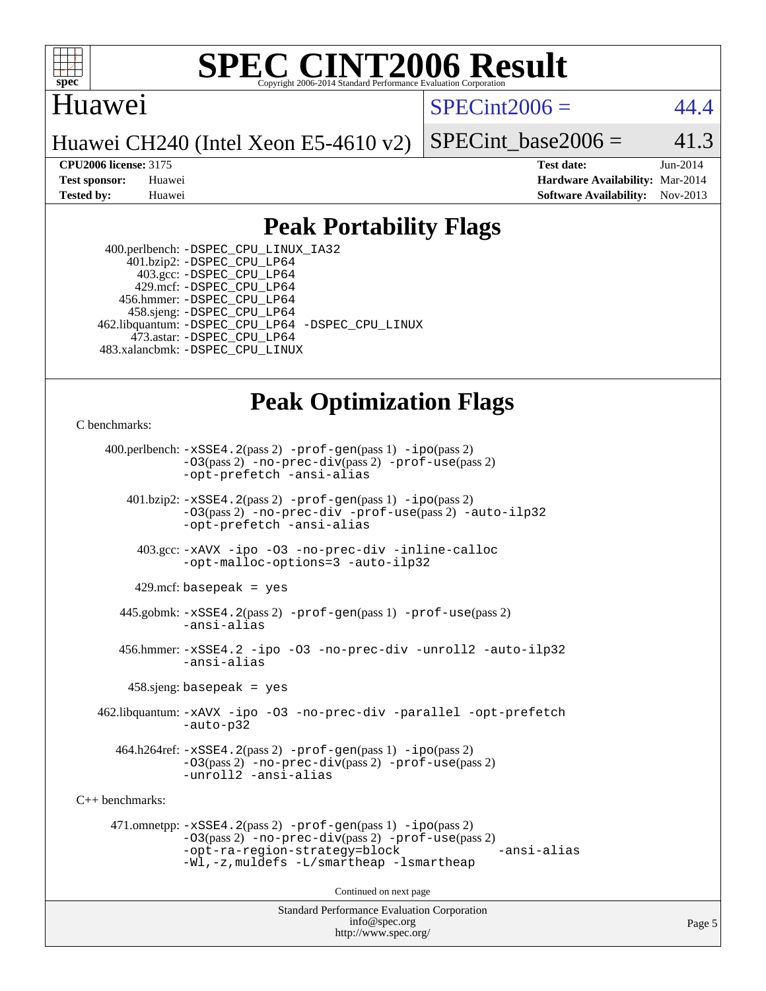

### Huawei

 $SPECint2006 = 44.4$  $SPECint2006 = 44.4$ 

Huawei CH240 (Intel Xeon E5-4610 v2)

SPECint base2006 =  $41.3$ 

**[CPU2006 license:](http://www.spec.org/auto/cpu2006/Docs/result-fields.html#CPU2006license)** 3175 **[Test date:](http://www.spec.org/auto/cpu2006/Docs/result-fields.html#Testdate)** Jun-2014 **[Test sponsor:](http://www.spec.org/auto/cpu2006/Docs/result-fields.html#Testsponsor)** Huawei **[Hardware Availability:](http://www.spec.org/auto/cpu2006/Docs/result-fields.html#HardwareAvailability)** Mar-2014 **[Tested by:](http://www.spec.org/auto/cpu2006/Docs/result-fields.html#Testedby)** Huawei **[Software Availability:](http://www.spec.org/auto/cpu2006/Docs/result-fields.html#SoftwareAvailability)** Nov-2013

### **[Peak Portability Flags](http://www.spec.org/auto/cpu2006/Docs/result-fields.html#PeakPortabilityFlags)**

 400.perlbench: [-DSPEC\\_CPU\\_LINUX\\_IA32](http://www.spec.org/cpu2006/results/res2014q3/cpu2006-20140630-30132.flags.html#b400.perlbench_peakCPORTABILITY_DSPEC_CPU_LINUX_IA32) 401.bzip2: [-DSPEC\\_CPU\\_LP64](http://www.spec.org/cpu2006/results/res2014q3/cpu2006-20140630-30132.flags.html#suite_peakPORTABILITY401_bzip2_DSPEC_CPU_LP64) 403.gcc: [-DSPEC\\_CPU\\_LP64](http://www.spec.org/cpu2006/results/res2014q3/cpu2006-20140630-30132.flags.html#suite_peakPORTABILITY403_gcc_DSPEC_CPU_LP64) 429.mcf: [-DSPEC\\_CPU\\_LP64](http://www.spec.org/cpu2006/results/res2014q3/cpu2006-20140630-30132.flags.html#suite_peakPORTABILITY429_mcf_DSPEC_CPU_LP64) 456.hmmer: [-DSPEC\\_CPU\\_LP64](http://www.spec.org/cpu2006/results/res2014q3/cpu2006-20140630-30132.flags.html#suite_peakPORTABILITY456_hmmer_DSPEC_CPU_LP64) 458.sjeng: [-DSPEC\\_CPU\\_LP64](http://www.spec.org/cpu2006/results/res2014q3/cpu2006-20140630-30132.flags.html#suite_peakPORTABILITY458_sjeng_DSPEC_CPU_LP64) 462.libquantum: [-DSPEC\\_CPU\\_LP64](http://www.spec.org/cpu2006/results/res2014q3/cpu2006-20140630-30132.flags.html#suite_peakPORTABILITY462_libquantum_DSPEC_CPU_LP64) [-DSPEC\\_CPU\\_LINUX](http://www.spec.org/cpu2006/results/res2014q3/cpu2006-20140630-30132.flags.html#b462.libquantum_peakCPORTABILITY_DSPEC_CPU_LINUX) 473.astar: [-DSPEC\\_CPU\\_LP64](http://www.spec.org/cpu2006/results/res2014q3/cpu2006-20140630-30132.flags.html#suite_peakPORTABILITY473_astar_DSPEC_CPU_LP64) 483.xalancbmk: [-DSPEC\\_CPU\\_LINUX](http://www.spec.org/cpu2006/results/res2014q3/cpu2006-20140630-30132.flags.html#b483.xalancbmk_peakCXXPORTABILITY_DSPEC_CPU_LINUX)

## **[Peak Optimization Flags](http://www.spec.org/auto/cpu2006/Docs/result-fields.html#PeakOptimizationFlags)**

[C benchmarks](http://www.spec.org/auto/cpu2006/Docs/result-fields.html#Cbenchmarks):

 400.perlbench: [-xSSE4.2](http://www.spec.org/cpu2006/results/res2014q3/cpu2006-20140630-30132.flags.html#user_peakPASS2_CFLAGSPASS2_LDCFLAGS400_perlbench_f-xSSE42_f91528193cf0b216347adb8b939d4107)(pass 2) [-prof-gen](http://www.spec.org/cpu2006/results/res2014q3/cpu2006-20140630-30132.flags.html#user_peakPASS1_CFLAGSPASS1_LDCFLAGS400_perlbench_prof_gen_e43856698f6ca7b7e442dfd80e94a8fc)(pass 1) [-ipo](http://www.spec.org/cpu2006/results/res2014q3/cpu2006-20140630-30132.flags.html#user_peakPASS2_CFLAGSPASS2_LDCFLAGS400_perlbench_f-ipo)(pass 2) [-O3](http://www.spec.org/cpu2006/results/res2014q3/cpu2006-20140630-30132.flags.html#user_peakPASS2_CFLAGSPASS2_LDCFLAGS400_perlbench_f-O3)(pass 2) [-no-prec-div](http://www.spec.org/cpu2006/results/res2014q3/cpu2006-20140630-30132.flags.html#user_peakPASS2_CFLAGSPASS2_LDCFLAGS400_perlbench_f-no-prec-div)(pass 2) [-prof-use](http://www.spec.org/cpu2006/results/res2014q3/cpu2006-20140630-30132.flags.html#user_peakPASS2_CFLAGSPASS2_LDCFLAGS400_perlbench_prof_use_bccf7792157ff70d64e32fe3e1250b55)(pass 2) [-opt-prefetch](http://www.spec.org/cpu2006/results/res2014q3/cpu2006-20140630-30132.flags.html#user_peakCOPTIMIZE400_perlbench_f-opt-prefetch) [-ansi-alias](http://www.spec.org/cpu2006/results/res2014q3/cpu2006-20140630-30132.flags.html#user_peakCOPTIMIZE400_perlbench_f-ansi-alias) 401.bzip2: [-xSSE4.2](http://www.spec.org/cpu2006/results/res2014q3/cpu2006-20140630-30132.flags.html#user_peakPASS2_CFLAGSPASS2_LDCFLAGS401_bzip2_f-xSSE42_f91528193cf0b216347adb8b939d4107)(pass 2) [-prof-gen](http://www.spec.org/cpu2006/results/res2014q3/cpu2006-20140630-30132.flags.html#user_peakPASS1_CFLAGSPASS1_LDCFLAGS401_bzip2_prof_gen_e43856698f6ca7b7e442dfd80e94a8fc)(pass 1) [-ipo](http://www.spec.org/cpu2006/results/res2014q3/cpu2006-20140630-30132.flags.html#user_peakPASS2_CFLAGSPASS2_LDCFLAGS401_bzip2_f-ipo)(pass 2) [-O3](http://www.spec.org/cpu2006/results/res2014q3/cpu2006-20140630-30132.flags.html#user_peakPASS2_CFLAGSPASS2_LDCFLAGS401_bzip2_f-O3)(pass 2) [-no-prec-div](http://www.spec.org/cpu2006/results/res2014q3/cpu2006-20140630-30132.flags.html#user_peakCOPTIMIZEPASS2_CFLAGSPASS2_LDCFLAGS401_bzip2_f-no-prec-div) [-prof-use](http://www.spec.org/cpu2006/results/res2014q3/cpu2006-20140630-30132.flags.html#user_peakPASS2_CFLAGSPASS2_LDCFLAGS401_bzip2_prof_use_bccf7792157ff70d64e32fe3e1250b55)(pass 2) [-auto-ilp32](http://www.spec.org/cpu2006/results/res2014q3/cpu2006-20140630-30132.flags.html#user_peakCOPTIMIZE401_bzip2_f-auto-ilp32) [-opt-prefetch](http://www.spec.org/cpu2006/results/res2014q3/cpu2006-20140630-30132.flags.html#user_peakCOPTIMIZE401_bzip2_f-opt-prefetch) [-ansi-alias](http://www.spec.org/cpu2006/results/res2014q3/cpu2006-20140630-30132.flags.html#user_peakCOPTIMIZE401_bzip2_f-ansi-alias) 403.gcc: [-xAVX](http://www.spec.org/cpu2006/results/res2014q3/cpu2006-20140630-30132.flags.html#user_peakCOPTIMIZE403_gcc_f-xAVX) [-ipo](http://www.spec.org/cpu2006/results/res2014q3/cpu2006-20140630-30132.flags.html#user_peakCOPTIMIZE403_gcc_f-ipo) [-O3](http://www.spec.org/cpu2006/results/res2014q3/cpu2006-20140630-30132.flags.html#user_peakCOPTIMIZE403_gcc_f-O3) [-no-prec-div](http://www.spec.org/cpu2006/results/res2014q3/cpu2006-20140630-30132.flags.html#user_peakCOPTIMIZE403_gcc_f-no-prec-div) [-inline-calloc](http://www.spec.org/cpu2006/results/res2014q3/cpu2006-20140630-30132.flags.html#user_peakCOPTIMIZE403_gcc_f-inline-calloc) [-opt-malloc-options=3](http://www.spec.org/cpu2006/results/res2014q3/cpu2006-20140630-30132.flags.html#user_peakCOPTIMIZE403_gcc_f-opt-malloc-options_13ab9b803cf986b4ee62f0a5998c2238) [-auto-ilp32](http://www.spec.org/cpu2006/results/res2014q3/cpu2006-20140630-30132.flags.html#user_peakCOPTIMIZE403_gcc_f-auto-ilp32)  $429$ .mcf: basepeak = yes 445.gobmk: [-xSSE4.2](http://www.spec.org/cpu2006/results/res2014q3/cpu2006-20140630-30132.flags.html#user_peakPASS2_CFLAGSPASS2_LDCFLAGS445_gobmk_f-xSSE42_f91528193cf0b216347adb8b939d4107)(pass 2) [-prof-gen](http://www.spec.org/cpu2006/results/res2014q3/cpu2006-20140630-30132.flags.html#user_peakPASS1_CFLAGSPASS1_LDCFLAGS445_gobmk_prof_gen_e43856698f6ca7b7e442dfd80e94a8fc)(pass 1) [-prof-use](http://www.spec.org/cpu2006/results/res2014q3/cpu2006-20140630-30132.flags.html#user_peakPASS2_CFLAGSPASS2_LDCFLAGS445_gobmk_prof_use_bccf7792157ff70d64e32fe3e1250b55)(pass 2) [-ansi-alias](http://www.spec.org/cpu2006/results/res2014q3/cpu2006-20140630-30132.flags.html#user_peakCOPTIMIZE445_gobmk_f-ansi-alias) 456.hmmer: [-xSSE4.2](http://www.spec.org/cpu2006/results/res2014q3/cpu2006-20140630-30132.flags.html#user_peakCOPTIMIZE456_hmmer_f-xSSE42_f91528193cf0b216347adb8b939d4107) [-ipo](http://www.spec.org/cpu2006/results/res2014q3/cpu2006-20140630-30132.flags.html#user_peakCOPTIMIZE456_hmmer_f-ipo) [-O3](http://www.spec.org/cpu2006/results/res2014q3/cpu2006-20140630-30132.flags.html#user_peakCOPTIMIZE456_hmmer_f-O3) [-no-prec-div](http://www.spec.org/cpu2006/results/res2014q3/cpu2006-20140630-30132.flags.html#user_peakCOPTIMIZE456_hmmer_f-no-prec-div) [-unroll2](http://www.spec.org/cpu2006/results/res2014q3/cpu2006-20140630-30132.flags.html#user_peakCOPTIMIZE456_hmmer_f-unroll_784dae83bebfb236979b41d2422d7ec2) [-auto-ilp32](http://www.spec.org/cpu2006/results/res2014q3/cpu2006-20140630-30132.flags.html#user_peakCOPTIMIZE456_hmmer_f-auto-ilp32) [-ansi-alias](http://www.spec.org/cpu2006/results/res2014q3/cpu2006-20140630-30132.flags.html#user_peakCOPTIMIZE456_hmmer_f-ansi-alias) 458.sjeng: basepeak = yes 462.libquantum: [-xAVX](http://www.spec.org/cpu2006/results/res2014q3/cpu2006-20140630-30132.flags.html#user_peakCOPTIMIZE462_libquantum_f-xAVX) [-ipo](http://www.spec.org/cpu2006/results/res2014q3/cpu2006-20140630-30132.flags.html#user_peakCOPTIMIZE462_libquantum_f-ipo) [-O3](http://www.spec.org/cpu2006/results/res2014q3/cpu2006-20140630-30132.flags.html#user_peakCOPTIMIZE462_libquantum_f-O3) [-no-prec-div](http://www.spec.org/cpu2006/results/res2014q3/cpu2006-20140630-30132.flags.html#user_peakCOPTIMIZE462_libquantum_f-no-prec-div) [-parallel](http://www.spec.org/cpu2006/results/res2014q3/cpu2006-20140630-30132.flags.html#user_peakCOPTIMIZE462_libquantum_f-parallel) [-opt-prefetch](http://www.spec.org/cpu2006/results/res2014q3/cpu2006-20140630-30132.flags.html#user_peakCOPTIMIZE462_libquantum_f-opt-prefetch) [-auto-p32](http://www.spec.org/cpu2006/results/res2014q3/cpu2006-20140630-30132.flags.html#user_peakCOPTIMIZE462_libquantum_f-auto-p32) 464.h264ref: [-xSSE4.2](http://www.spec.org/cpu2006/results/res2014q3/cpu2006-20140630-30132.flags.html#user_peakPASS2_CFLAGSPASS2_LDCFLAGS464_h264ref_f-xSSE42_f91528193cf0b216347adb8b939d4107)(pass 2) [-prof-gen](http://www.spec.org/cpu2006/results/res2014q3/cpu2006-20140630-30132.flags.html#user_peakPASS1_CFLAGSPASS1_LDCFLAGS464_h264ref_prof_gen_e43856698f6ca7b7e442dfd80e94a8fc)(pass 1) [-ipo](http://www.spec.org/cpu2006/results/res2014q3/cpu2006-20140630-30132.flags.html#user_peakPASS2_CFLAGSPASS2_LDCFLAGS464_h264ref_f-ipo)(pass 2) [-O3](http://www.spec.org/cpu2006/results/res2014q3/cpu2006-20140630-30132.flags.html#user_peakPASS2_CFLAGSPASS2_LDCFLAGS464_h264ref_f-O3)(pass 2) [-no-prec-div](http://www.spec.org/cpu2006/results/res2014q3/cpu2006-20140630-30132.flags.html#user_peakPASS2_CFLAGSPASS2_LDCFLAGS464_h264ref_f-no-prec-div)(pass 2) [-prof-use](http://www.spec.org/cpu2006/results/res2014q3/cpu2006-20140630-30132.flags.html#user_peakPASS2_CFLAGSPASS2_LDCFLAGS464_h264ref_prof_use_bccf7792157ff70d64e32fe3e1250b55)(pass 2) [-unroll2](http://www.spec.org/cpu2006/results/res2014q3/cpu2006-20140630-30132.flags.html#user_peakCOPTIMIZE464_h264ref_f-unroll_784dae83bebfb236979b41d2422d7ec2) [-ansi-alias](http://www.spec.org/cpu2006/results/res2014q3/cpu2006-20140630-30132.flags.html#user_peakCOPTIMIZE464_h264ref_f-ansi-alias) [C++ benchmarks:](http://www.spec.org/auto/cpu2006/Docs/result-fields.html#CXXbenchmarks) 471.omnetpp: [-xSSE4.2](http://www.spec.org/cpu2006/results/res2014q3/cpu2006-20140630-30132.flags.html#user_peakPASS2_CXXFLAGSPASS2_LDCXXFLAGS471_omnetpp_f-xSSE42_f91528193cf0b216347adb8b939d4107)(pass 2) [-prof-gen](http://www.spec.org/cpu2006/results/res2014q3/cpu2006-20140630-30132.flags.html#user_peakPASS1_CXXFLAGSPASS1_LDCXXFLAGS471_omnetpp_prof_gen_e43856698f6ca7b7e442dfd80e94a8fc)(pass 1) [-ipo](http://www.spec.org/cpu2006/results/res2014q3/cpu2006-20140630-30132.flags.html#user_peakPASS2_CXXFLAGSPASS2_LDCXXFLAGS471_omnetpp_f-ipo)(pass 2) [-O3](http://www.spec.org/cpu2006/results/res2014q3/cpu2006-20140630-30132.flags.html#user_peakPASS2_CXXFLAGSPASS2_LDCXXFLAGS471_omnetpp_f-O3)(pass 2) [-no-prec-div](http://www.spec.org/cpu2006/results/res2014q3/cpu2006-20140630-30132.flags.html#user_peakPASS2_CXXFLAGSPASS2_LDCXXFLAGS471_omnetpp_f-no-prec-div)(pass 2) [-prof-use](http://www.spec.org/cpu2006/results/res2014q3/cpu2006-20140630-30132.flags.html#user_peakPASS2_CXXFLAGSPASS2_LDCXXFLAGS471_omnetpp_prof_use_bccf7792157ff70d64e32fe3e1250b55)(pass 2) [-opt-ra-region-strategy=block](http://www.spec.org/cpu2006/results/res2014q3/cpu2006-20140630-30132.flags.html#user_peakCXXOPTIMIZE471_omnetpp_f-opt-ra-region-strategy_5382940c29ea30302d682fc74bfe0147) [-ansi-alias](http://www.spec.org/cpu2006/results/res2014q3/cpu2006-20140630-30132.flags.html#user_peakCXXOPTIMIZE471_omnetpp_f-ansi-alias) [-Wl,-z,muldefs](http://www.spec.org/cpu2006/results/res2014q3/cpu2006-20140630-30132.flags.html#user_peakEXTRA_LDFLAGS471_omnetpp_link_force_multiple1_74079c344b956b9658436fd1b6dd3a8a) [-L/smartheap -lsmartheap](http://www.spec.org/cpu2006/results/res2014q3/cpu2006-20140630-30132.flags.html#user_peakEXTRA_LIBS471_omnetpp_SmartHeap_7c9e394a5779e1a7fec7c221e123830c) Continued on next page